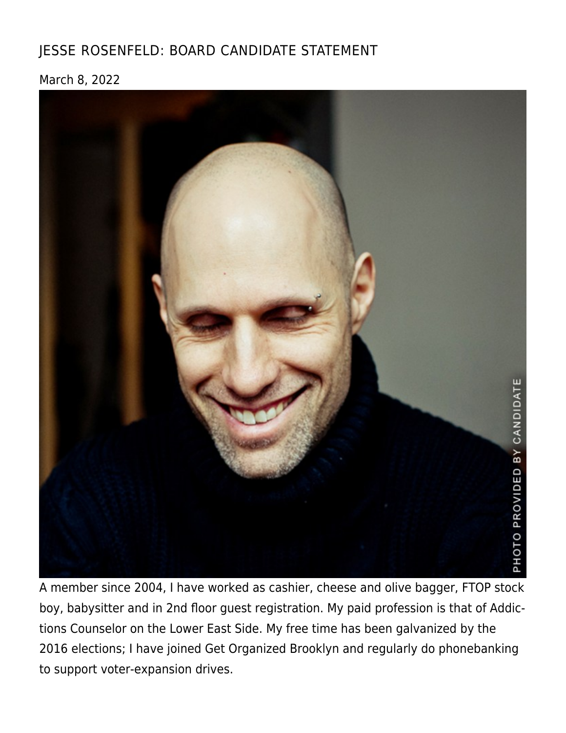## [JESSE ROSENFELD: BOARD CANDIDATE STATEMENT](https://linewaitersgazette.com/2022/03/08/bod-candidate-rosenfeld/)

March 8, 2022



A member since 2004, I have worked as cashier, cheese and olive bagger, FTOP stock boy, babysitter and in 2nd floor guest registration. My paid profession is that of Addictions Counselor on the Lower East Side. My free time has been galvanized by the 2016 elections; I have joined Get Organized Brooklyn and regularly do phonebanking to support voter-expansion drives.